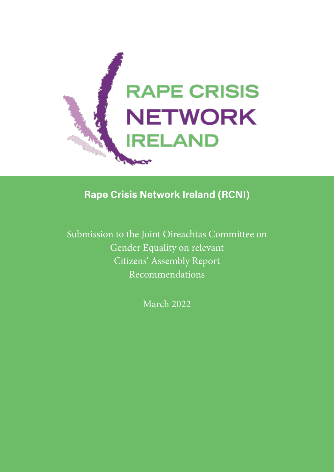

Rape Crisis Network Ireland (RCNI)

Submission to the Joint Oireachtas Committee on Gender Equality on relevant Citizens' Assembly Report Recommendations

March 2022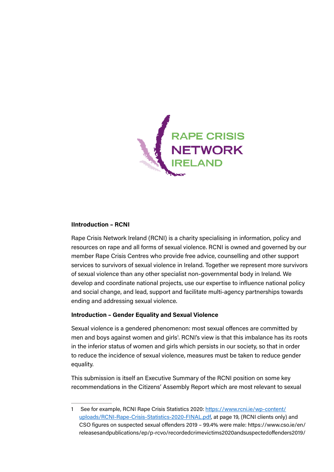

## IIntroduction – RCNI

Rape Crisis Network Ireland (RCNI) is a charity specialising in information, policy and resources on rape and all forms of sexual violence. RCNI is owned and governed by our member Rape Crisis Centres who provide free advice, counselling and other support services to survivors of sexual violence in Ireland. Together we represent more survivors of sexual violence than any other specialist non-governmental body in Ireland. We develop and coordinate national projects, use our expertise to influence national policy and social change, and lead, support and facilitate multi-agency partnerships towards ending and addressing sexual violence.

#### Introduction – Gender Equality and Sexual Violence

Sexual violence is a gendered phenomenon: most sexual offences are committed by men and boys against women and girls<sup>1</sup>. RCNI's view is that this imbalance has its roots in the inferior status of women and girls which persists in our society, so that in order to reduce the incidence of sexual violence, measures must be taken to reduce gender equality.

This submission is itself an Executive Summary of the RCNI position on some key recommendations in the Citizens' Assembly Report which are most relevant to sexual

<sup>1</sup> See for example, RCNI Rape Crisis Statistics 2020: [https://www.rcni.ie/wp-content/](https://www.rcni.ie/wp-content/uploads/RCNI-Rape-Crisis-Statistics-2020-FINAL.pdf) [uploads/RCNI-Rape-Crisis-Statistics-2020-FINAL.pdf](https://www.rcni.ie/wp-content/uploads/RCNI-Rape-Crisis-Statistics-2020-FINAL.pdf), at page 19, (RCNI clients only) and CSO figures on suspected sexual offenders 2019 – 99.4% were male: https://www.cso.ie/en/ releasesandpublications/ep/p-rcvo/recordedcrimevictims2020andsuspectedoffenders2019/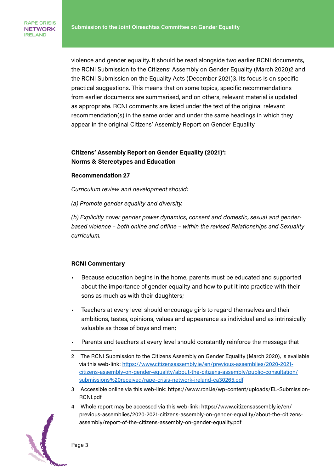RAPE CRISIS **NETWORK IRELAND** 

> violence and gender equality. It should be read alongside two earlier RCNI documents, the RCNI Submission to the Citizens' Assembly on Gender Equality (March 2020)2 and the RCNI Submission on the Equality Acts (December 2021)3. Its focus is on specific practical suggestions. This means that on some topics, specific recommendations from earlier documents are summarised, and on others, relevant material is updated as appropriate. RCNI comments are listed under the text of the original relevant recommendation(s) in the same order and under the same headings in which they appear in the original Citizens' Assembly Report on Gender Equality.

# Citizens' Assembly Report on Gender Equality (2021)<sup>4</sup>: Norms & Stereotypes and Education

#### Recommendation 27

Curriculum review and development should:

(a) Promote gender equality and diversity.

(b) Explicitly cover gender power dynamics, consent and domestic, sexual and genderbased violence – both online and offline – within the revised Relationships and Sexuality curriculum.

#### RCNI Commentary

- Because education begins in the home, parents must be educated and supported about the importance of gender equality and how to put it into practice with their sons as much as with their daughters;
- Teachers at every level should encourage girls to regard themselves and their ambitions, tastes, opinions, values and appearance as individual and as intrinsically valuable as those of boys and men;
- Parents and teachers at every level should constantly reinforce the message that
- 2 The RCNI Submission to the Citizens Assembly on Gender Equality (March 2020), is available via this web-link: [https://www.citizensassembly.ie/en/previous-assemblies/2020-2021](https://www.citizensassembly.ie/en/previous-assemblies/2020-2021-citizens-assembly-on-gender-equality/about-the-citizens-assembly/public-consultation/submissions%20received/rape-crisis-network-ireland-ca30265.pdf) [citizens-assembly-on-gender-equality/about-the-citizens-assembly/public-consultation/](https://www.citizensassembly.ie/en/previous-assemblies/2020-2021-citizens-assembly-on-gender-equality/about-the-citizens-assembly/public-consultation/submissions%20received/rape-crisis-network-ireland-ca30265.pdf) [submissions%20received/rape-crisis-network-ireland-ca30265.pdf](https://www.citizensassembly.ie/en/previous-assemblies/2020-2021-citizens-assembly-on-gender-equality/about-the-citizens-assembly/public-consultation/submissions%20received/rape-crisis-network-ireland-ca30265.pdf)
- 3 Accessible online via this web-link: https://www.rcni.ie/wp-content/uploads/EL-Submission-RCNI.pdf
- 4 Whole report may be accessed via this web-link: https://www.citizensassembly.ie/en/ previous-assemblies/2020-2021-citizens-assembly-on-gender-equality/about-the-citizensassembly/report-of-the-citizens-assembly-on-gender-equality.pdf

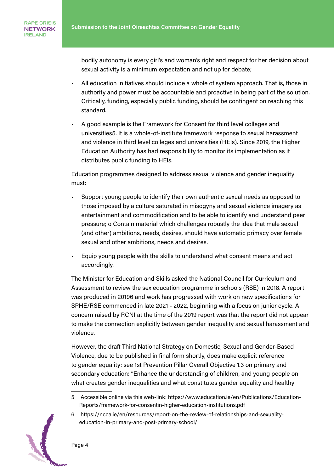bodily autonomy is every girl's and woman's right and respect for her decision about sexual activity is a minimum expectation and not up for debate;

- All education initiatives should include a whole of system approach. That is, those in authority and power must be accountable and proactive in being part of the solution. Critically, funding, especially public funding, should be contingent on reaching this standard.
- A good example is the Framework for Consent for third level colleges and universities5. It is a whole-of-institute framework response to sexual harassment and violence in third level colleges and universities (HEIs). Since 2019, the Higher Education Authority has had responsibility to monitor its implementation as it distributes public funding to HEIs.

Education programmes designed to address sexual violence and gender inequality must:

- Support young people to identify their own authentic sexual needs as opposed to those imposed by a culture saturated in misogyny and sexual violence imagery as entertainment and commodification and to be able to identify and understand peer pressure; o Contain material which challenges robustly the idea that male sexual (and other) ambitions, needs, desires, should have automatic primacy over female sexual and other ambitions, needs and desires.
- Equip young people with the skills to understand what consent means and act accordingly.

The Minister for Education and Skills asked the National Council for Curriculum and Assessment to review the sex education programme in schools (RSE) in 2018. A report was produced in 20196 and work has progressed with work on new specifications for SPHE/RSE commenced in late 2021 - 2022, beginning with a focus on junior cycle. A concern raised by RCNI at the time of the 2019 report was that the report did not appear to make the connection explicitly between gender inequality and sexual harassment and violence.

However, the draft Third National Strategy on Domestic, Sexual and Gender-Based Violence, due to be published in final form shortly, does make explicit reference to gender equality: see 1st Prevention Pillar Overall Objective 1.3 on primary and secondary education: "Enhance the understanding of children, and young people on what creates gender inequalities and what constitutes gender equality and healthy

<sup>6</sup> https://ncca.ie/en/resources/report-on-the-review-of-relationships-and-sexualityeducation-in-primary-and-post-primary-school/



<sup>5</sup> Accessible online via this web-link: https://www.education.ie/en/Publications/Education-Reports/framework-for-consentin-higher-education-institutions.pdf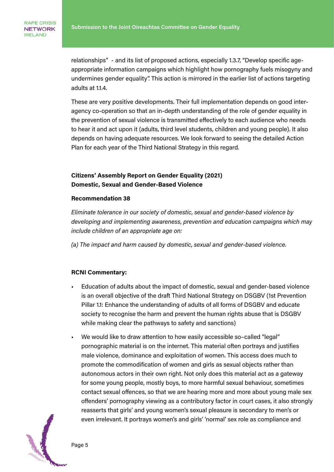relationships" - and its list of proposed actions, especially 1.3.7, "Develop specific ageappropriate information campaigns which highlight how pornography fuels misogyny and undermines gender equality". This action is mirrored in the earlier list of actions targeting adults at 1.1.4.

These are very positive developments. Their full implementation depends on good interagency co-operation so that an in-depth understanding of the role of gender equality in the prevention of sexual violence is transmitted effectively to each audience who needs to hear it and act upon it (adults, third level students, children and young people). It also depends on having adequate resources. We look forward to seeing the detailed Action Plan for each year of the Third National Strategy in this regard.

## Citizens' Assembly Report on Gender Equality (2021) Domestic, Sexual and Gender-Based Violence

#### Recommendation 38

Eliminate tolerance in our society of domestic, sexual and gender-based violence by developing and implementing awareness, prevention and education campaigns which may include children of an appropriate age on:

(a) The impact and harm caused by domestic, sexual and gender-based violence.

#### RCNI Commentary:

- Education of adults about the impact of domestic, sexual and gender-based violence is an overall objective of the draft Third National Strategy on DSGBV (1st Prevention Pillar 1.1: Enhance the understanding of adults of all forms of DSGBV and educate society to recognise the harm and prevent the human rights abuse that is DSGBV while making clear the pathways to safety and sanctions)
- We would like to draw attention to how easily accessible so–called "legal" pornographic material is on the internet. This material often portrays and justifies male violence, dominance and exploitation of women. This access does much to promote the commodification of women and girls as sexual objects rather than autonomous actors in their own right. Not only does this material act as a gateway for some young people, mostly boys, to more harmful sexual behaviour, sometimes contact sexual offences, so that we are hearing more and more about young male sex offenders' pornography viewing as a contributory factor in court cases, it also strongly reasserts that girls' and young women's sexual pleasure is secondary to men's or even irrelevant. It portrays women's and girls' 'normal' sex role as compliance and

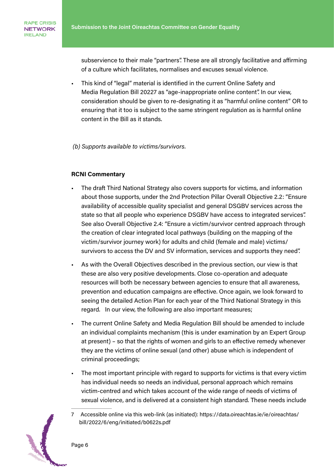subservience to their male "partners". These are all strongly facilitative and affirming of a culture which facilitates, normalises and excuses sexual violence.

• This kind of "legal" material is identified in the current Online Safety and Media Regulation Bill 20227 as "age-inappropriate online content". In our view, consideration should be given to re-designating it as "harmful online content" OR to ensuring that it too is subject to the same stringent regulation as is harmful online content in the Bill as it stands.

(b) Supports available to victims/survivors.

## RCNI Commentary

- The draft Third National Strategy also covers supports for victims, and information about those supports, under the 2nd Protection Pillar Overall Objective 2.2: "Ensure availability of accessible quality specialist and general DSGBV services across the state so that all people who experience DSGBV have access to integrated services". See also Overall Objective 2.4: "Ensure a victim/survivor centred approach through the creation of clear integrated local pathways (building on the mapping of the victim/survivor journey work) for adults and child (female and male) victims/ survivors to access the DV and SV information, services and supports they need".
- As with the Overall Objectives described in the previous section, our view is that these are also very positive developments. Close co-operation and adequate resources will both be necessary between agencies to ensure that all awareness, prevention and education campaigns are effective. Once again, we look forward to seeing the detailed Action Plan for each year of the Third National Strategy in this regard. In our view, the following are also important measures;
- The current Online Safety and Media Regulation Bill should be amended to include an individual complaints mechanism (this is under examination by an Expert Group at present) – so that the rights of women and girls to an effective remedy whenever they are the victims of online sexual (and other) abuse which is independent of criminal proceedings;
- The most important principle with regard to supports for victims is that every victim has individual needs so needs an individual, personal approach which remains victim-centred and which takes account of the wide range of needs of victims of sexual violence, and is delivered at a consistent high standard. These needs include
- 7 Accessible online via this web-link (as initiated): https://data.oireachtas.ie/ie/oireachtas/ bill/2022/6/eng/initiated/b0622s.pdf

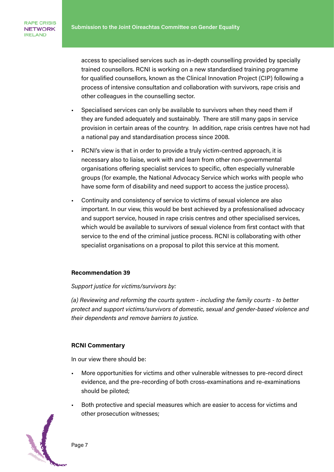access to specialised services such as in-depth counselling provided by specially trained counsellors. RCNI is working on a new standardised training programme for qualified counsellors, known as the Clinical Innovation Project (CIP) following a process of intensive consultation and collaboration with survivors, rape crisis and other colleagues in the counselling sector.

- Specialised services can only be available to survivors when they need them if they are funded adequately and sustainably. There are still many gaps in service provision in certain areas of the country. In addition, rape crisis centres have not had a national pay and standardisation process since 2008.
- RCNI's view is that in order to provide a truly victim-centred approach, it is necessary also to liaise, work with and learn from other non-governmental organisations offering specialist services to specific, often especially vulnerable groups (for example, the National Advocacy Service which works with people who have some form of disability and need support to access the justice process).
- Continuity and consistency of service to victims of sexual violence are also important. In our view, this would be best achieved by a professionalised advocacy and support service, housed in rape crisis centres and other specialised services, which would be available to survivors of sexual violence from first contact with that service to the end of the criminal justice process. RCNI is collaborating with other specialist organisations on a proposal to pilot this service at this moment.

#### Recommendation 39

#### Support justice for victims/survivors by:

(a) Reviewing and reforming the courts system - including the family courts - to better protect and support victims/survivors of domestic, sexual and gender-based violence and their dependents and remove barriers to justice.

#### RCNI Commentary

In our view there should be:

- More opportunities for victims and other vulnerable witnesses to pre-record direct evidence, and the pre-recording of both cross-examinations and re-examinations should be piloted;
- Both protective and special measures which are easier to access for victims and other prosecution witnesses;



Page 7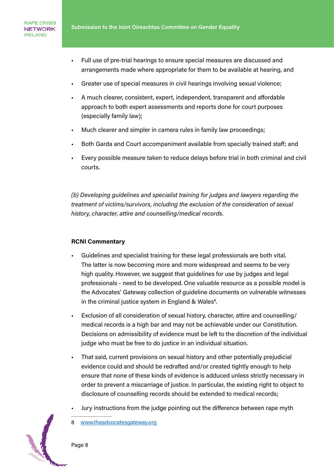- Full use of pre-trial hearings to ensure special measures are discussed and arrangements made where appropriate for them to be available at hearing, and
- Greater use of special measures in civil hearings involving sexual violence;
- A much clearer, consistent, expert, independent, transparent and affordable approach to both expert assessments and reports done for court purposes (especially family law);
- Much clearer and simpler in camera rules in family law proceedings;
- Both Garda and Court accompaniment available from specially trained staff; and
- Every possible measure taken to reduce delays before trial in both criminal and civil courts.

(b) Developing guidelines and specialist training for judges and lawyers regarding the treatment of victims/survivors, including the exclusion of the consideration of sexual history, character, attire and counselling/medical records.

#### RCNI Commentary

- Guidelines and specialist training for these legal professionals are both vital. The latter is now becoming more and more widespread and seems to be very high quality. However, we suggest that guidelines for use by judges and legal professionals - need to be developed. One valuable resource as a possible model is the Advocates' Gateway collection of guideline documents on vulnerable witnesses in the criminal justice system in England & Wales<sup>8</sup>.
- Exclusion of all consideration of sexual history, character, attire and counselling/ medical records is a high bar and may not be achievable under our Constitution. Decisions on admissibility of evidence must be left to the discretion of the individual judge who must be free to do justice in an individual situation.
- That said, current provisions on sexual history and other potentially prejudicial evidence could and should be redrafted and/or created tightly enough to help ensure that none of these kinds of evidence is adduced unless strictly necessary in order to prevent a miscarriage of justice. In particular, the existing right to object to disclosure of counselling records should be extended to medical records;
- Jury instructions from the judge pointing out the difference between rape myth

Page 8

<sup>8</sup> [www.theadvocatesgateway.org](http://www.theadvocatesgateway.org)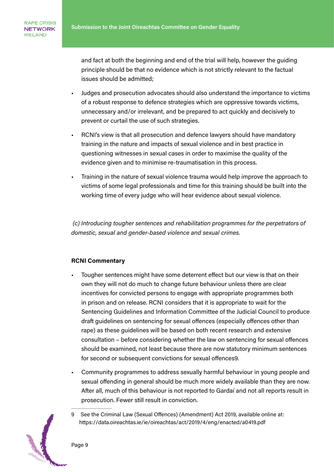and fact at both the beginning and end of the trial will help, however the guiding principle should be that no evidence which is not strictly relevant to the factual issues should be admitted;

- Judges and prosecution advocates should also understand the importance to victims of a robust response to defence strategies which are oppressive towards victims, unnecessary and/or irrelevant, and be prepared to act quickly and decisively to prevent or curtail the use of such strategies.
- RCNI's view is that all prosecution and defence lawyers should have mandatory training in the nature and impacts of sexual violence and in best practice in questioning witnesses in sexual cases in order to maximise the quality of the evidence given and to minimise re-traumatisation in this process.
- Training in the nature of sexual violence trauma would help improve the approach to victims of some legal professionals and time for this training should be built into the working time of every judge who will hear evidence about sexual violence.

 (c) Introducing tougher sentences and rehabilitation programmes for the perpetrators of domestic, sexual and gender-based violence and sexual crimes.

#### RCNI Commentary

- Tougher sentences might have some deterrent effect but our view is that on their own they will not do much to change future behaviour unless there are clear incentives for convicted persons to engage with appropriate programmes both in prison and on release. RCNI considers that it is appropriate to wait for the Sentencing Guidelines and Information Committee of the Judicial Council to produce draft guidelines on sentencing for sexual offences (especially offences other than rape) as these guidelines will be based on both recent research and extensive consultation – before considering whether the law on sentencing for sexual offences should be examined, not least because there are now statutory minimum sentences for second or subsequent convictions for sexual offences9.
- Community programmes to address sexually harmful behaviour in young people and sexual offending in general should be much more widely available than they are now. After all, much of this behaviour is not reported to Gardaí and not all reports result in prosecution. Fewer still result in conviction.
- 9 See the Criminal Law (Sexual Offences) (Amendment) Act 2019, available online at: https://data.oireachtas.ie/ie/oireachtas/act/2019/4/eng/enacted/a0419.pdf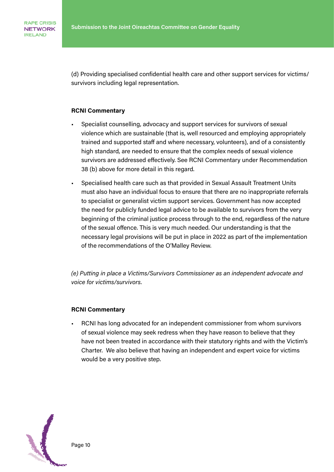(d) Providing specialised confidential health care and other support services for victims/ survivors including legal representation.

#### RCNI Commentary

- Specialist counselling, advocacy and support services for survivors of sexual violence which are sustainable (that is, well resourced and employing appropriately trained and supported staff and where necessary, volunteers), and of a consistently high standard, are needed to ensure that the complex needs of sexual violence survivors are addressed effectively. See RCNI Commentary under Recommendation 38 (b) above for more detail in this regard.
- Specialised health care such as that provided in Sexual Assault Treatment Units must also have an individual focus to ensure that there are no inappropriate referrals to specialist or generalist victim support services. Government has now accepted the need for publicly funded legal advice to be available to survivors from the very beginning of the criminal justice process through to the end, regardless of the nature of the sexual offence. This is very much needed. Our understanding is that the necessary legal provisions will be put in place in 2022 as part of the implementation of the recommendations of the O'Malley Review.

(e) Putting in place a Victims/Survivors Commissioner as an independent advocate and voice for victims/survivors.

#### RCNI Commentary

• RCNI has long advocated for an independent commissioner from whom survivors of sexual violence may seek redress when they have reason to believe that they have not been treated in accordance with their statutory rights and with the Victim's Charter. We also believe that having an independent and expert voice for victims would be a very positive step.

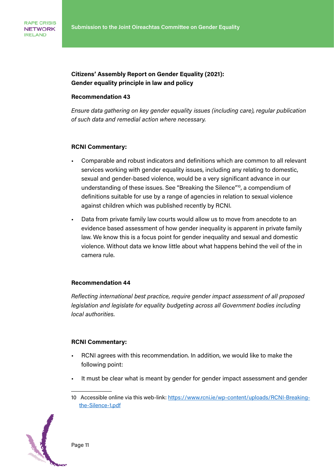# Citizens' Assembly Report on Gender Equality (2021): Gender equality principle in law and policy

#### Recommendation 43

Ensure data gathering on key gender equality issues (including care), regular publication of such data and remedial action where necessary.

#### RCNI Commentary:

- Comparable and robust indicators and definitions which are common to all relevant services working with gender equality issues, including any relating to domestic, sexual and gender-based violence, would be a very significant advance in our understanding of these issues. See "Breaking the Silence"10, a compendium of definitions suitable for use by a range of agencies in relation to sexual violence against children which was published recently by RCNI.
- Data from private family law courts would allow us to move from anecdote to an evidence based assessment of how gender inequality is apparent in private family law. We know this is a focus point for gender inequality and sexual and domestic violence. Without data we know little about what happens behind the veil of the in camera rule.

## Recommendation 44

Reflecting international best practice, require gender impact assessment of all proposed legislation and legislate for equality budgeting across all Government bodies including local authorities.

#### RCNI Commentary:

- RCNI agrees with this recommendation. In addition, we would like to make the following point:
- It must be clear what is meant by gender for gender impact assessment and gender
- 10 Accessible online via this web-link: [https://www.rcni.ie/wp-content/uploads/RCNI-Breaking](https://www.rcni.ie/wp-content/uploads/RCNI-Breaking-the-Silence-1.pdf)[the-Silence-1.pdf](https://www.rcni.ie/wp-content/uploads/RCNI-Breaking-the-Silence-1.pdf)